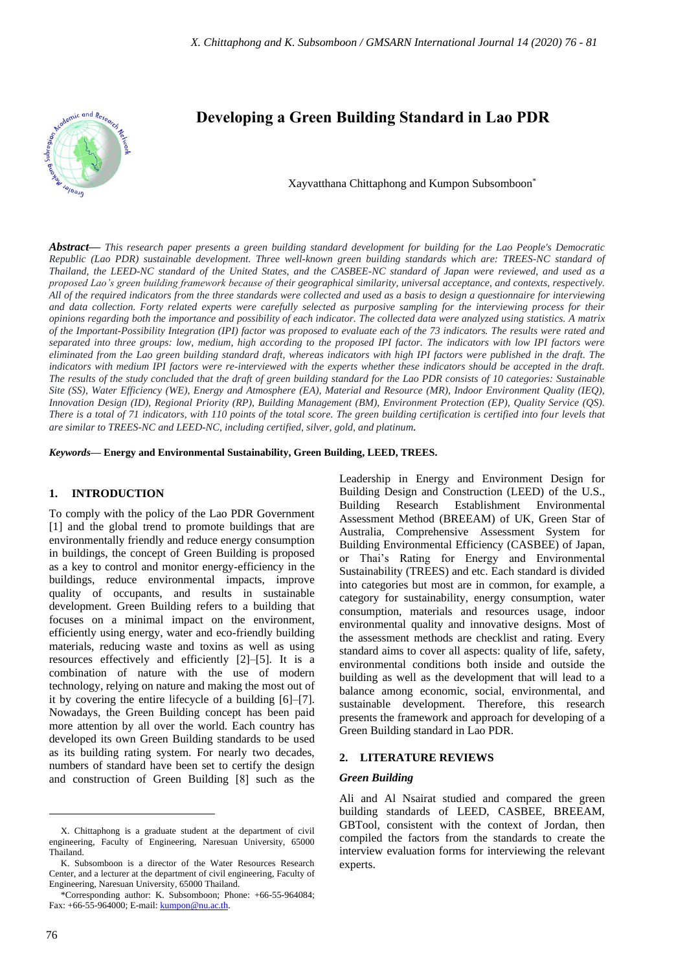

# **Developing a Green Building Standard in Lao PDR**

Xayvatthana Chittaphong and Kumpon Subsomboon\*

*Abstract***—** *This research paper presents a green building standard development for building for the Lao People's Democratic Republic (Lao PDR) sustainable development. Three well-known green building standards which are: TREES-NC standard of Thailand, the LEED-NC standard of the United States, and the CASBEE-NC standard of Japan were reviewed, and used as a proposed Lao's green building framework because of their geographical similarity, universal acceptance, and contexts, respectively. All of the required indicators from the three standards were collected and used as a basis to design a questionnaire for interviewing and data collection. Forty related experts were carefully selected as purposive sampling for the interviewing process for their opinions regarding both the importance and possibility of each indicator. The collected data were analyzed using statistics. A matrix of the Important-Possibility Integration (IPI) factor was proposed to evaluate each of the 73 indicators. The results were rated and separated into three groups: low, medium, high according to the proposed IPI factor. The indicators with low IPI factors were eliminated from the Lao green building standard draft, whereas indicators with high IPI factors were published in the draft. The indicators with medium IPI factors were re-interviewed with the experts whether these indicators should be accepted in the draft. The results of the study concluded that the draft of green building standard for the Lao PDR consists of 10 categories: Sustainable Site (SS), Water Efficiency (WE), Energy and Atmosphere (EA), Material and Resource (MR), Indoor Environment Quality (IEQ), Innovation Design (ID), Regional Priority (RP), Building Management (BM), Environment Protection (EP), Quality Service (QS). There is a total of 71 indicators, with 110 points of the total score. The green building certification is certified into four levels that are similar to TREES-NC and LEED-NC, including certified, silver, gold, and platinum.*

*Keywords***— Energy and Environmental Sustainability, Green Building, LEED, TREES.**

#### **1. INTRODUCTION**

To comply with the policy of the Lao PDR Government [1] and the global trend to promote buildings that are environmentally friendly and reduce energy consumption in buildings, the concept of Green Building is proposed as a key to control and monitor energy-efficiency in the buildings, reduce environmental impacts, improve quality of occupants, and results in sustainable development. Green Building refers to a building that focuses on a minimal impact on the environment, efficiently using energy, water and eco-friendly building materials, reducing waste and toxins as well as using resources effectively and efficiently [2]–[5]. It is a combination of nature with the use of modern technology, relying on nature and making the most out of it by covering the entire lifecycle of a building [6]–[7]. Nowadays, the Green Building concept has been paid more attention by all over the world. Each country has developed its own Green Building standards to be used as its building rating system. For nearly two decades, numbers of standard have been set to certify the design and construction of Green Building [8] such as the

Leadership in Energy and Environment Design for Building Design and Construction (LEED) of the U.S., Building Research Establishment Environmental Assessment Method (BREEAM) of UK, Green Star of Australia, Comprehensive Assessment System for Building Environmental Efficiency (CASBEE) of Japan, or Thai's Rating for Energy and Environmental Sustainability (TREES) and etc. Each standard is divided into categories but most are in common, for example, a category for sustainability, energy consumption, water consumption, materials and resources usage, indoor environmental quality and innovative designs. Most of the assessment methods are checklist and rating. Every standard aims to cover all aspects: quality of life, safety, environmental conditions both inside and outside the building as well as the development that will lead to a balance among economic, social, environmental, and sustainable development. Therefore, this research presents the framework and approach for developing of a Green Building standard in Lao PDR.

# **2. LITERATURE REVIEWS**

#### *Green Building*

Ali and Al Nsairat studied and compared the green building standards of LEED, CASBEE, BREEAM, GBTool, consistent with the context of Jordan, then compiled the factors from the standards to create the interview evaluation forms for interviewing the relevant experts.

X. Chittaphong is a graduate student at the department of civil engineering, Faculty of Engineering, Naresuan University, 65000 Thailand.

K. Subsomboon is a director of the Water Resources Research Center, and a lecturer at the department of civil engineering, Faculty of Engineering, Naresuan University, 65000 Thailand.

<sup>\*</sup>Corresponding author: K. Subsomboon; Phone: +66-55-964084; Fax: +66-55-964000; E-mail: **kumpon@nu.ac.th.**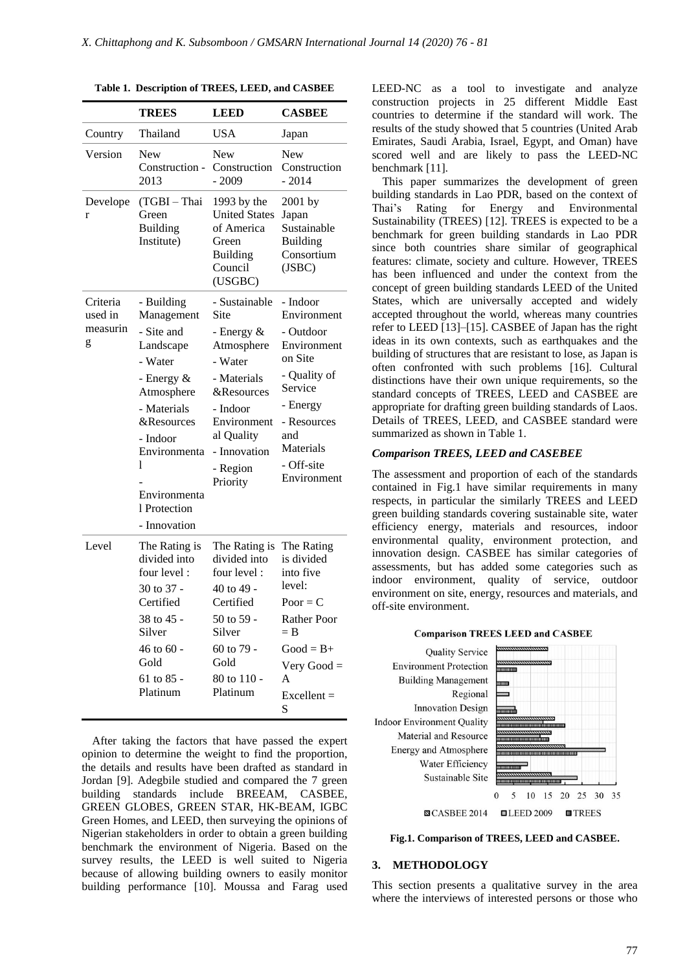|                                      | <b>TREES</b>                                                                                                                                                                                        | <b>LEED</b>                                                                                                                                                                              | <b>CASBEE</b>                                                                                                                                                         |
|--------------------------------------|-----------------------------------------------------------------------------------------------------------------------------------------------------------------------------------------------------|------------------------------------------------------------------------------------------------------------------------------------------------------------------------------------------|-----------------------------------------------------------------------------------------------------------------------------------------------------------------------|
| Country                              | Thailand                                                                                                                                                                                            | <b>USA</b>                                                                                                                                                                               | Japan                                                                                                                                                                 |
| Version                              | New<br>Construction -<br>2013                                                                                                                                                                       | New<br>Construction<br>$-2009$                                                                                                                                                           | New<br>Construction<br>$-2014$                                                                                                                                        |
| Develope<br>r                        | (TGBI-Thai<br>Green<br><b>Building</b><br>Institute)                                                                                                                                                | 1993 by the<br><b>United States</b><br>of America<br>Green<br><b>Building</b><br>Council<br>(USGBC)                                                                                      | $2001$ by<br>Japan<br>Sustainable<br><b>Building</b><br>Consortium<br>(JSBC)                                                                                          |
| Criteria<br>used in<br>measurin<br>g | - Building<br>Management<br>- Site and<br>Landscape<br>- Water<br>- Energy &<br>Atmosphere<br>- Materials<br><b>&amp;Resources</b><br>- Indoor<br>Environmenta<br>1<br>Environmenta<br>1 Protection | - Sustainable<br>Site<br>- Energy $\&$<br>Atmosphere<br>- Water<br>- Materials<br><b>&amp;Resources</b><br>- Indoor<br>Environment<br>al Quality<br>- Innovation<br>- Region<br>Priority | - Indoor<br>Environment<br>- Outdoor<br>Environment<br>on Site<br>- Quality of<br>Service<br>- Energy<br>- Resources<br>and<br>Materials<br>- Off-site<br>Environment |
| Level                                | - Innovation<br>The Rating is<br>divided into<br>four level:<br>30 to 37 -<br>Certified<br>38 to 45 -<br>Silver<br>$46 \text{ to } 60$ -<br>Gold<br>61 to $85 -$<br>Platinum                        | The Rating is<br>divided into<br>four level:<br>40 to 49 -<br>Certified<br>50 to 59 -<br>Silver<br>60 to 79 -<br>Gold<br>80 to 110 -<br>Platinum                                         | The Rating<br>is divided<br>into five<br>level:<br>$Poor = C$<br><b>Rather Poor</b><br>$=$ B<br>$Good = B+$<br>Very Good $=$<br>A<br>$Excellent =$<br>S               |

**Table 1. Description of TREES, LEED, and CASBEE**

After taking the factors that have passed the expert opinion to determine the weight to find the proportion, the details and results have been drafted as standard in Jordan [9]. Adegbile studied and compared the 7 green building standards include BREEAM, CASBEE, GREEN GLOBES, GREEN STAR, HK-BEAM, IGBC Green Homes, and LEED, then surveying the opinions of Nigerian stakeholders in order to obtain a green building benchmark the environment of Nigeria. Based on the survey results, the LEED is well suited to Nigeria because of allowing building owners to easily monitor building performance [10]. Moussa and Farag used

LEED-NC as a tool to investigate and analyze construction projects in 25 different Middle East countries to determine if the standard will work. The results of the study showed that 5 countries (United Arab Emirates, Saudi Arabia, Israel, Egypt, and Oman) have scored well and are likely to pass the LEED-NC benchmark [11].

This paper summarizes the development of green building standards in Lao PDR, based on the context of Thai's Rating for Energy and Environmental Sustainability (TREES) [12]. TREES is expected to be a benchmark for green building standards in Lao PDR since both countries share similar of geographical features: climate, society and culture. However, TREES has been influenced and under the context from the concept of green building standards LEED of the United States, which are universally accepted and widely accepted throughout the world, whereas many countries refer to LEED [13]–[15]. CASBEE of Japan has the right ideas in its own contexts, such as earthquakes and the building of structures that are resistant to lose, as Japan is often confronted with such problems [16]. Cultural distinctions have their own unique requirements, so the standard concepts of TREES, LEED and CASBEE are appropriate for drafting green building standards of Laos. Details of TREES, LEED, and CASBEE standard were summarized as shown in Table 1.

# *Comparison TREES, LEED and CASEBEE*

The assessment and proportion of each of the standards contained in Fig.1 have similar requirements in many respects, in particular the similarly TREES and LEED green building standards covering sustainable site, water efficiency energy, materials and resources, indoor environmental quality, environment protection, and innovation design. CASBEE has similar categories of assessments, but has added some categories such as indoor environment, quality of service, outdoor environment on site, energy, resources and materials, and off-site environment.

#### **Comparison TREES LEED and CASBEE**

**Quality Service Environment Protection Building Management** Regional **Innovation Design Indoor Environment Quality** Material and Resource Energy and Atmosphere Water Efficiency Sustainable Site



**Fig.1. Comparison of TREES, LEED and CASBEE.**

# **3. METHODOLOGY**

This section presents a qualitative survey in the area where the interviews of interested persons or those who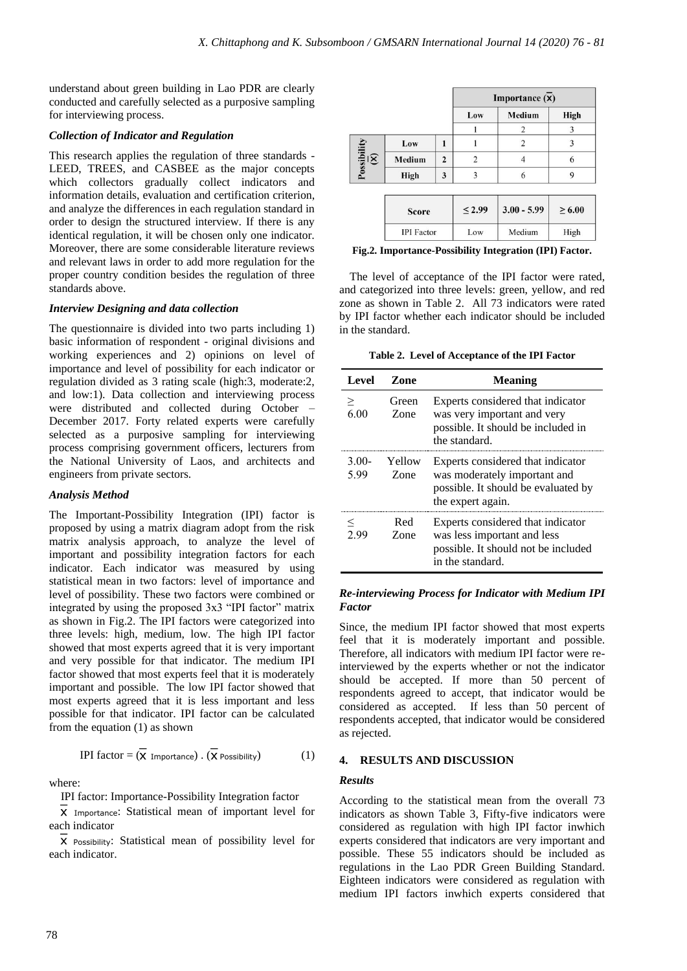understand about green building in Lao PDR are clearly conducted and carefully selected as a purposive sampling for interviewing process.

# *Collection of Indicator and Regulation*

This research applies the regulation of three standards - LEED, TREES, and CASBEE as the major concepts which collectors gradually collect indicators and information details, evaluation and certification criterion, and analyze the differences in each regulation standard in order to design the structured interview. If there is any identical regulation, it will be chosen only one indicator. Moreover, there are some considerable literature reviews and relevant laws in order to add more regulation for the proper country condition besides the regulation of three standards above.

# *Interview Designing and data collection*

The questionnaire is divided into two parts including 1) basic information of respondent - original divisions and working experiences and 2) opinions on level of importance and level of possibility for each indicator or regulation divided as 3 rating scale (high:3, moderate:2, and low:1). Data collection and interviewing process were distributed and collected during October – December 2017. Forty related experts were carefully selected as a purposive sampling for interviewing process comprising government officers, lecturers from the National University of Laos, and architects and engineers from private sectors.

# *Analysis Method*

The Important-Possibility Integration (IPI) factor is proposed by using a matrix diagram adopt from the risk matrix analysis approach, to analyze the level of important and possibility integration factors for each indicator. Each indicator was measured by using statistical mean in two factors: level of importance and level of possibility. These two factors were combined or integrated by using the proposed 3x3 "IPI factor" matrix as shown in Fig.2. The IPI factors were categorized into three levels: high, medium, low. The high IPI factor showed that most experts agreed that it is very important and very possible for that indicator. The medium IPI factor showed that most experts feel that it is moderately important and possible. The low IPI factor showed that most experts agreed that it is less important and less possible for that indicator. IPI factor can be calculated from the equation (1) as shown

$$
IPI factor = (\overline{X} \text{ Importance}) \cdot (\overline{X} \text{ Possibility}) \tag{1}
$$

where:

IPI factor: Importance-Possibility Integration factor

 $\overline{X}$  Importance: Statistical mean of important level for each indicator

 $\overline{X}$  Possibility: Statistical mean of possibility level for each indicator.

|                                           |                   |                | Importance (X) |                |             |
|-------------------------------------------|-------------------|----------------|----------------|----------------|-------------|
|                                           |                   |                | Low            | Medium         | <b>High</b> |
|                                           |                   |                |                | 2              | 3           |
|                                           | Low               | 1              |                | $\overline{2}$ | 3           |
| Possibility<br>$\frac{\overline{a}}{(x)}$ | Medium            | $\overline{2}$ | $\overline{2}$ |                | 6           |
|                                           | High              | 3              | 3              | 6              | 9           |
|                                           |                   |                |                |                |             |
|                                           | <b>Score</b>      |                | $\leq 2.99$    | $3.00 - 5.99$  | $\geq 6.00$ |
|                                           | <b>IPI</b> Factor |                | Low            | Medium         | High        |

**Fig.2. Importance-Possibility Integration (IPI) Factor.**

The level of acceptance of the IPI factor were rated, and categorized into three levels: green, yellow, and red zone as shown in Table 2. All 73 indicators were rated by IPI factor whether each indicator should be included in the standard.

**Table 2. Level of Acceptance of the IPI Factor**

| Level           | Zone           | <b>Meaning</b>                                                                                                                |
|-----------------|----------------|-------------------------------------------------------------------------------------------------------------------------------|
| $\geq$<br>6.00  | Green<br>Zone  | Experts considered that indicator<br>was very important and very<br>possible. It should be included in<br>the standard.       |
| $3.00-$<br>5.99 | Yellow<br>Zone | Experts considered that indicator<br>was moderately important and<br>possible. It should be evaluated by<br>the expert again. |
| 2.99            | Red<br>Zone    | Experts considered that indicator<br>was less important and less<br>possible. It should not be included<br>in the standard.   |

# *Re-interviewing Process for Indicator with Medium IPI Factor*

Since, the medium IPI factor showed that most experts feel that it is moderately important and possible. Therefore, all indicators with medium IPI factor were reinterviewed by the experts whether or not the indicator should be accepted. If more than 50 percent of respondents agreed to accept, that indicator would be considered as accepted. If less than 50 percent of respondents accepted, that indicator would be considered as rejected.

# **4. RESULTS AND DISCUSSION**

# *Results*

According to the statistical mean from the overall 73 indicators as shown Table 3, Fifty-five indicators were considered as regulation with high IPI factor inwhich experts considered that indicators are very important and possible. These 55 indicators should be included as regulations in the Lao PDR Green Building Standard. Eighteen indicators were considered as regulation with medium IPI factors inwhich experts considered that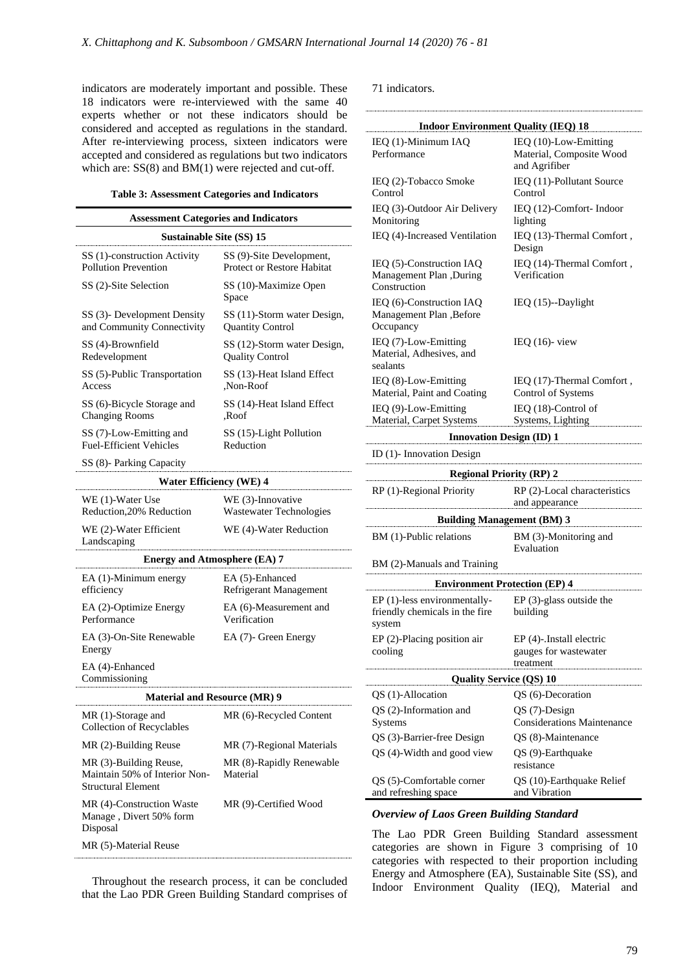indicators are moderately important and possible. These 18 indicators were re-interviewed with the same 40 experts whether or not these indicators should be considered and accepted as regulations in the standard. After re-interviewing process, sixteen indicators were accepted and considered as regulations but two indicators which are:  $SS(8)$  and BM(1) were rejected and cut-off.

#### **Table 3: Assessment Categories and Indicators**

| <b>Assessment Categories and Indicators</b>                                          |                                                        |  |  |  |
|--------------------------------------------------------------------------------------|--------------------------------------------------------|--|--|--|
| <b>Sustainable Site (SS) 15</b>                                                      |                                                        |  |  |  |
| SS (1)-construction Activity<br><b>Pollution Prevention</b>                          | SS (9)-Site Development,<br>Protect or Restore Habitat |  |  |  |
| SS (2)-Site Selection                                                                | SS (10)-Maximize Open<br>Space                         |  |  |  |
| SS (3)- Development Density<br>and Community Connectivity                            | SS (11)-Storm water Design,<br><b>Quantity Control</b> |  |  |  |
| SS (4)-Brownfield<br>Redevelopment                                                   | SS (12)-Storm water Design,<br><b>Quality Control</b>  |  |  |  |
| SS (5)-Public Transportation<br>Access                                               | SS (13)-Heat Island Effect<br>,Non-Roof                |  |  |  |
| SS (6)-Bicycle Storage and<br><b>Changing Rooms</b>                                  | SS (14)-Heat Island Effect<br>,Roof                    |  |  |  |
| SS (7)-Low-Emitting and<br><b>Fuel-Efficient Vehicles</b>                            | SS (15)-Light Pollution<br>Reduction                   |  |  |  |
| SS (8)- Parking Capacity                                                             |                                                        |  |  |  |
| <b>Water Efficiency (WE) 4</b>                                                       |                                                        |  |  |  |
| WE (1)-Water Use<br>Reduction, 20% Reduction                                         | WE (3)-Innovative<br>Wastewater Technologies           |  |  |  |
| WE (2)-Water Efficient<br>Landscaping                                                | WE (4)-Water Reduction                                 |  |  |  |
| <b>Energy and Atmosphere (EA) 7</b>                                                  |                                                        |  |  |  |
| EA (1)-Minimum energy<br>efficiency                                                  | EA (5)-Enhanced<br>Refrigerant Management              |  |  |  |
| EA (2)-Optimize Energy<br>Performance                                                | EA (6)-Measurement and<br>Verification                 |  |  |  |
| EA (3)-On-Site Renewable<br>Energy                                                   | EA (7)- Green Energy                                   |  |  |  |
| EA (4)-Enhanced<br>Commissioning                                                     |                                                        |  |  |  |
| <b>Material and Resource (MR) 9</b>                                                  |                                                        |  |  |  |
| MR (1)-Storage and<br>Collection of Recyclables                                      | MR (6)-Recycled Content                                |  |  |  |
| MR (2)-Building Reuse                                                                | MR (7)-Regional Materials                              |  |  |  |
| MR (3)-Building Reuse,<br>Maintain 50% of Interior Non-<br><b>Structural Element</b> | MR (8)-Rapidly Renewable<br>Material                   |  |  |  |
| MR (4)-Construction Waste<br>Manage, Divert 50% form<br>Disposal                     | MR (9)-Certified Wood                                  |  |  |  |
| MR (5)-Material Reuse                                                                |                                                        |  |  |  |

Throughout the research process, it can be concluded that the Lao PDR Green Building Standard comprises of

71 indicators.

| <b>Indoor Environment Quality (IEQ) 18</b>                               |                                                                    |  |  |  |
|--------------------------------------------------------------------------|--------------------------------------------------------------------|--|--|--|
| IEQ (1)-Minimum IAQ<br>Performance                                       | IEQ (10)-Low-Emitting<br>Material, Composite Wood<br>and Agrifiber |  |  |  |
| IEQ (2)-Tobacco Smoke<br>Control                                         | IEQ (11)-Pollutant Source<br>Control                               |  |  |  |
| IEQ (3)-Outdoor Air Delivery<br>Monitoring                               | IEQ (12)-Comfort-Indoor<br>lighting                                |  |  |  |
| IEQ (4)-Increased Ventilation                                            | IEQ (13)-Thermal Comfort,<br>Design                                |  |  |  |
| IEQ (5)-Construction IAQ<br>Management Plan ,During<br>Construction      | IEQ (14)-Thermal Comfort,<br>Verification                          |  |  |  |
| IEQ (6)-Construction IAQ<br>Management Plan , Before<br>Occupancy        | IEQ $(15)$ --Daylight                                              |  |  |  |
| IEQ (7)-Low-Emitting<br>Material, Adhesives, and<br>sealants             | IEQ $(16)$ - view                                                  |  |  |  |
| IEQ (8)-Low-Emitting<br>Material, Paint and Coating                      | IEQ (17)-Thermal Comfort,<br>Control of Systems                    |  |  |  |
| IEQ (9)-Low-Emitting<br>Material, Carpet Systems                         | IEQ (18)-Control of<br>Systems, Lighting                           |  |  |  |
| <b>Innovation Design (ID) 1</b>                                          |                                                                    |  |  |  |
| ID (1)- Innovation Design                                                |                                                                    |  |  |  |
| <b>Regional Priority (RP) 2</b>                                          |                                                                    |  |  |  |
| RP (1)-Regional Priority                                                 | RP (2)-Local characteristics<br>and appearance                     |  |  |  |
| <b>Building Management (BM) 3</b>                                        |                                                                    |  |  |  |
| BM (1)-Public relations                                                  | BM (3)-Monitoring and<br>Evaluation                                |  |  |  |
| BM (2)-Manuals and Training                                              |                                                                    |  |  |  |
| <b>Environment Protection (EP) 4</b>                                     |                                                                    |  |  |  |
| EP (1)-less environmentally-<br>friendly chemicals in the fire<br>system | $EP(3)$ -glass outside the<br>building                             |  |  |  |
| EP (2)-Placing position air                                              | EP (4)-.Install electric                                           |  |  |  |
| cooling                                                                  | gauges for wastewater                                              |  |  |  |
| treatment<br><b>Quality Service (QS) 10</b>                              |                                                                    |  |  |  |
| QS (1)-Allocation                                                        | QS (6)-Decoration                                                  |  |  |  |
| QS (2)-Information and                                                   | QS (7)-Design                                                      |  |  |  |
| Systems                                                                  | <b>Considerations Maintenance</b>                                  |  |  |  |
| QS (3)-Barrier-free Design                                               | QS (8)-Maintenance                                                 |  |  |  |
| QS (4)-Width and good view                                               | QS (9)-Earthquake<br>resistance                                    |  |  |  |
| QS (5)-Comfortable corner<br>and refreshing space                        | QS (10)-Earthquake Relief<br>and Vibration                         |  |  |  |

# *Overview of Laos Green Building Standard*

The Lao PDR Green Building Standard assessment categories are shown in Figure 3 comprising of 10 categories with respected to their proportion including Energy and Atmosphere (EA), Sustainable Site (SS), and Indoor Environment Quality (IEQ), Material and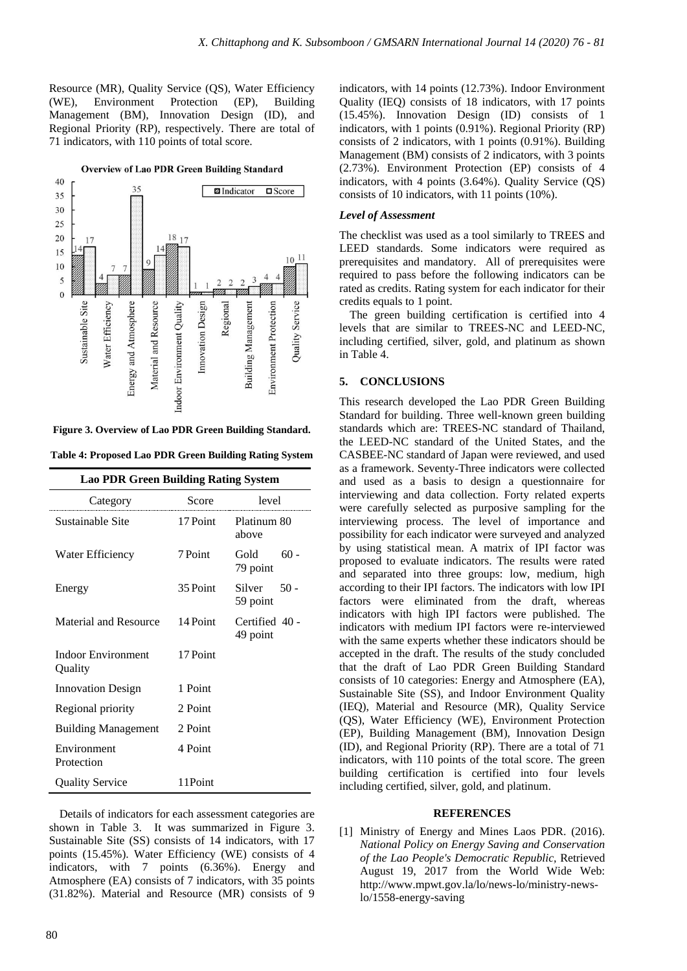Resource (MR), Quality Service (QS), Water Efficiency (WE), Environment Protection (EP), Building Management (BM), Innovation Design (ID), and Regional Priority (RP), respectively. There are total of 71 indicators, with 110 points of total score.

**Overview of Lao PDR Green Building Standard** 



**Figure 3. Overview of Lao PDR Green Building Standard.**

**Table 4: Proposed Lao PDR Green Building Rating System**

| <b>Lao PDR Green Building Rating System</b> |          |                            |  |
|---------------------------------------------|----------|----------------------------|--|
| Category                                    | Score    | level                      |  |
| Sustainable Site                            | 17 Point | Platinum 80<br>above       |  |
| Water Efficiency                            | 7 Point  | $60 -$<br>Gold<br>79 point |  |
| Energy                                      | 35 Point | Silver $50 -$<br>59 point  |  |
| Material and Resource                       | 14 Point | Certified 40 -<br>49 point |  |
| <b>Indoor Environment</b><br>Quality        | 17 Point |                            |  |
| <b>Innovation Design</b>                    | 1 Point  |                            |  |
| Regional priority                           | 2 Point  |                            |  |
| <b>Building Management</b>                  | 2 Point  |                            |  |
| Environment<br>Protection                   | 4 Point  |                            |  |
| <b>Quality Service</b>                      | 11Point  |                            |  |

Details of indicators for each assessment categories are shown in Table 3. It was summarized in Figure 3. Sustainable Site (SS) consists of 14 indicators, with 17 points (15.45%). Water Efficiency (WE) consists of 4 indicators, with 7 points (6.36%). Energy and Atmosphere (EA) consists of 7 indicators, with 35 points (31.82%). Material and Resource (MR) consists of 9 indicators, with 14 points (12.73%). Indoor Environment Quality (IEQ) consists of 18 indicators, with 17 points (15.45%). Innovation Design (ID) consists of 1 indicators, with 1 points (0.91%). Regional Priority (RP) consists of 2 indicators, with 1 points (0.91%). Building Management (BM) consists of 2 indicators, with 3 points (2.73%). Environment Protection (EP) consists of 4 indicators, with 4 points (3.64%). Quality Service (QS) consists of 10 indicators, with 11 points (10%).

### *Level of Assessment*

The checklist was used as a tool similarly to TREES and LEED standards. Some indicators were required as prerequisites and mandatory. All of prerequisites were required to pass before the following indicators can be rated as credits. Rating system for each indicator for their credits equals to 1 point.

The green building certification is certified into 4 levels that are similar to TREES-NC and LEED-NC, including certified, silver, gold, and platinum as shown in Table 4.

#### **5. CONCLUSIONS**

This research developed the Lao PDR Green Building Standard for building. Three well-known green building standards which are: TREES-NC standard of Thailand, the LEED-NC standard of the United States, and the CASBEE-NC standard of Japan were reviewed, and used as a framework. Seventy-Three indicators were collected and used as a basis to design a questionnaire for interviewing and data collection. Forty related experts were carefully selected as purposive sampling for the interviewing process. The level of importance and possibility for each indicator were surveyed and analyzed by using statistical mean. A matrix of IPI factor was proposed to evaluate indicators. The results were rated and separated into three groups: low, medium, high according to their IPI factors. The indicators with low IPI factors were eliminated from the draft, whereas indicators with high IPI factors were published. The indicators with medium IPI factors were re-interviewed with the same experts whether these indicators should be accepted in the draft. The results of the study concluded that the draft of Lao PDR Green Building Standard consists of 10 categories: Energy and Atmosphere (EA), Sustainable Site (SS), and Indoor Environment Quality (IEQ), Material and Resource (MR), Quality Service (QS), Water Efficiency (WE), Environment Protection (EP), Building Management (BM), Innovation Design (ID), and Regional Priority (RP). There are a total of 71 indicators, with 110 points of the total score. The green building certification is certified into four levels including certified, silver, gold, and platinum.

#### **REFERENCES**

[1] Ministry of Energy and Mines Laos PDR. (2016). *National Policy on Energy Saving and Conservation of the Lao People's Democratic Republic,* Retrieved August 19, 2017 from the World Wide Web: http://www.mpwt.gov.la/lo/news-lo/ministry-newslo/1558-energy-saving